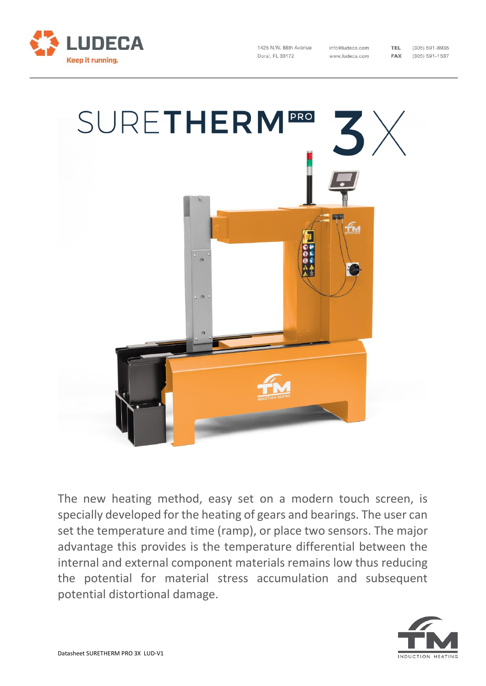

1425 N.W. 88th Avenue Doral, FL 33172

info@ludeca.com www.ludeca.com

 $(305) 591 - 8935$  $(305) 591 - 1537$ 

TEL

FAX



The new heating method, easy set on a modern touch screen, is specially developed for the heating of gears and bearings. The user can set the temperature and time (ramp), or place two sensors. The major advantage this provides is the temperature differential between the internal and external component materials remains low thus reducing the potential for material stress accumulation and subsequent potential distortional damage.

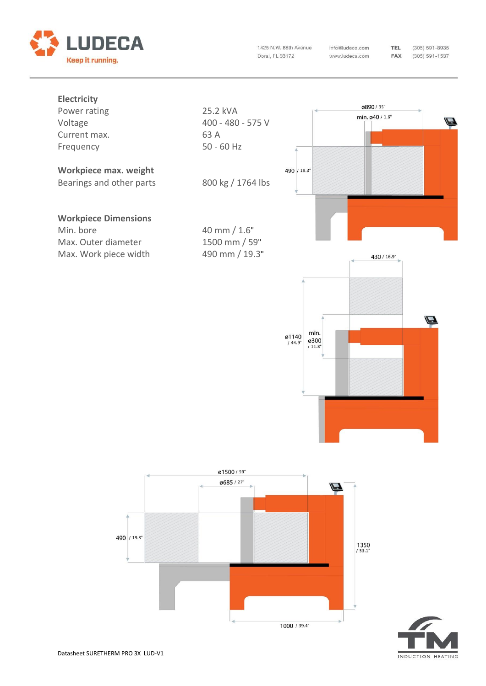

1425 N.W. 88th Avenue Doral, FL 33172

info@ludeca.com www.ludeca.com  $(305) 591 - 8935$  $(305) 591 - 1537$ 

**TEL** 

FAX





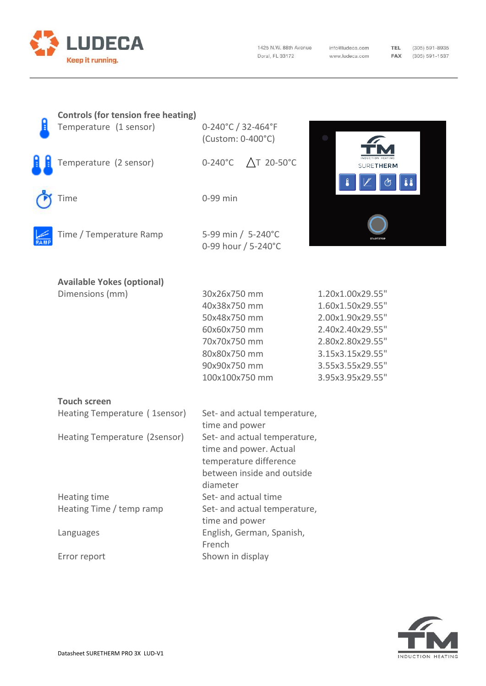

1425 N.W. 88th Avenue Doral, FL 33172

info@ludeca.com www.ludeca.com

TEL (305) 591-8935 **FAX** (305) 591-1537

| <b>Controls (for tension free heating)</b><br>Temperature (1 sensor) | 0-240°C / 32-464°F<br>(Custom: 0-400°C)                                                                                        |                                                                                                                                                              |
|----------------------------------------------------------------------|--------------------------------------------------------------------------------------------------------------------------------|--------------------------------------------------------------------------------------------------------------------------------------------------------------|
| Temperature (2 sensor)                                               | △T 20-50°C<br>$0-240^{\circ}$ C                                                                                                | <b>SURETHERM</b>                                                                                                                                             |
| Time                                                                 | 0-99 min                                                                                                                       |                                                                                                                                                              |
| Time / Temperature Ramp                                              | 5-99 min / 5-240°C<br>0-99 hour / 5-240°C                                                                                      |                                                                                                                                                              |
| <b>Available Yokes (optional)</b>                                    |                                                                                                                                |                                                                                                                                                              |
| Dimensions (mm)                                                      | 30x26x750 mm<br>40x38x750 mm<br>50x48x750 mm<br>60x60x750 mm<br>70x70x750 mm<br>80x80x750 mm<br>90x90x750 mm<br>100x100x750 mm | 1.20x1.00x29.55"<br>1.60x1.50x29.55"<br>2.00x1.90x29.55"<br>2.40x2.40x29.55"<br>2.80x2.80x29.55"<br>3.15x3.15x29.55"<br>3.55x3.55x29.55"<br>3.95x3.95x29.55" |
| <b>Touch screen</b>                                                  |                                                                                                                                |                                                                                                                                                              |
| Heating Temperature (1sensor)                                        | Set- and actual temperature,<br>time and power                                                                                 |                                                                                                                                                              |
| Heating Temperature (2sensor)                                        | Set- and actual temperature,<br>time and power. Actual<br>temperature difference<br>between inside and outside<br>diameter     |                                                                                                                                                              |
| Heating time<br>Heating Time / temp ramp                             | Set- and actual time<br>Set- and actual temperature,                                                                           |                                                                                                                                                              |
| Languages                                                            | time and power<br>English, German, Spanish,<br>French                                                                          |                                                                                                                                                              |
| Error report                                                         | Shown in display                                                                                                               |                                                                                                                                                              |